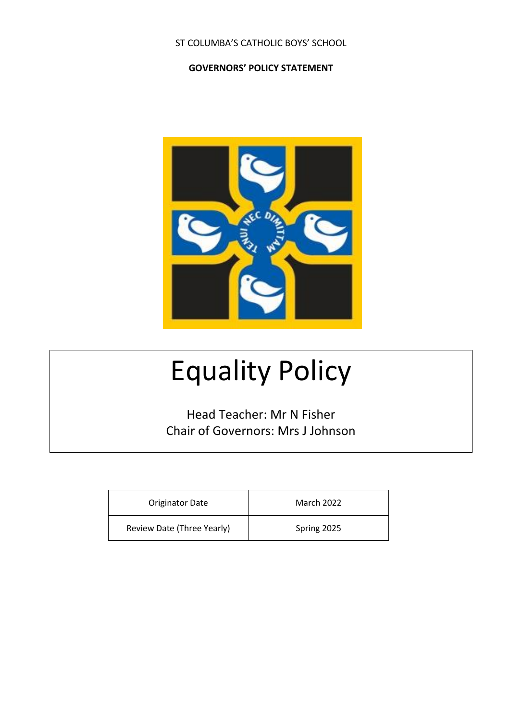#### ST COLUMBA'S CATHOLIC BOYS' SCHOOL

#### **GOVERNORS' POLICY STATEMENT**



# Equality Policy

Head Teacher: Mr N Fisher Chair of Governors: Mrs J Johnson

| <b>Originator Date</b>     | <b>March 2022</b> |
|----------------------------|-------------------|
| Review Date (Three Yearly) | Spring 2025       |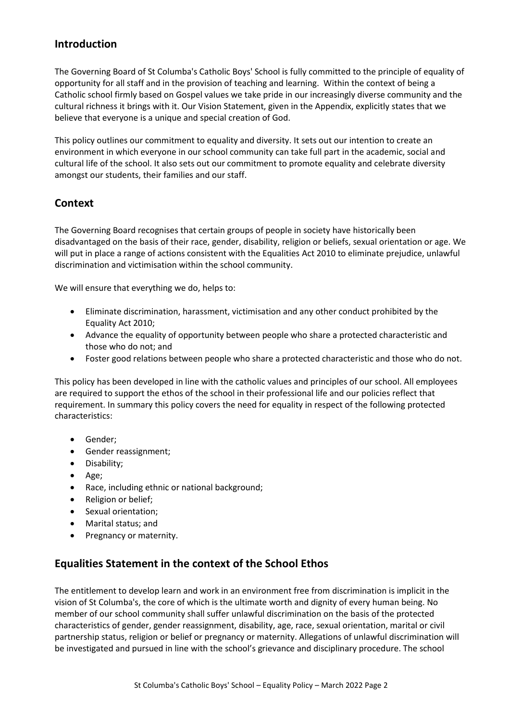#### **Introduction**

The Governing Board of St Columba's Catholic Boys' School is fully committed to the principle of equality of opportunity for all staff and in the provision of teaching and learning. Within the context of being a Catholic school firmly based on Gospel values we take pride in our increasingly diverse community and the cultural richness it brings with it. Our Vision Statement, given in the Appendix, explicitly states that we believe that everyone is a unique and special creation of God.

This policy outlines our commitment to equality and diversity. It sets out our intention to create an environment in which everyone in our school community can take full part in the academic, social and cultural life of the school. It also sets out our commitment to promote equality and celebrate diversity amongst our students, their families and our staff.

## **Context**

The Governing Board recognises that certain groups of people in society have historically been disadvantaged on the basis of their race, gender, disability, religion or beliefs, sexual orientation or age. We will put in place a range of actions consistent with the Equalities Act 2010 to eliminate prejudice, unlawful discrimination and victimisation within the school community.

We will ensure that everything we do, helps to:

- Eliminate discrimination, harassment, victimisation and any other conduct prohibited by the Equality Act 2010;
- Advance the equality of opportunity between people who share a protected characteristic and those who do not; and
- Foster good relations between people who share a protected characteristic and those who do not.

This policy has been developed in line with the catholic values and principles of our school. All employees are required to support the ethos of the school in their professional life and our policies reflect that requirement. In summary this policy covers the need for equality in respect of the following protected characteristics:

- Gender;
- Gender reassignment;
- Disability;
- Age;
- Race, including ethnic or national background;
- Religion or belief;
- Sexual orientation;
- Marital status; and
- Pregnancy or maternity.

#### **Equalities Statement in the context of the School Ethos**

The entitlement to develop learn and work in an environment free from discrimination is implicit in the vision of St Columba's, the core of which is the ultimate worth and dignity of every human being. No member of our school community shall suffer unlawful discrimination on the basis of the protected characteristics of gender, gender reassignment, disability, age, race, sexual orientation, marital or civil partnership status, religion or belief or pregnancy or maternity. Allegations of unlawful discrimination will be investigated and pursued in line with the school's grievance and disciplinary procedure. The school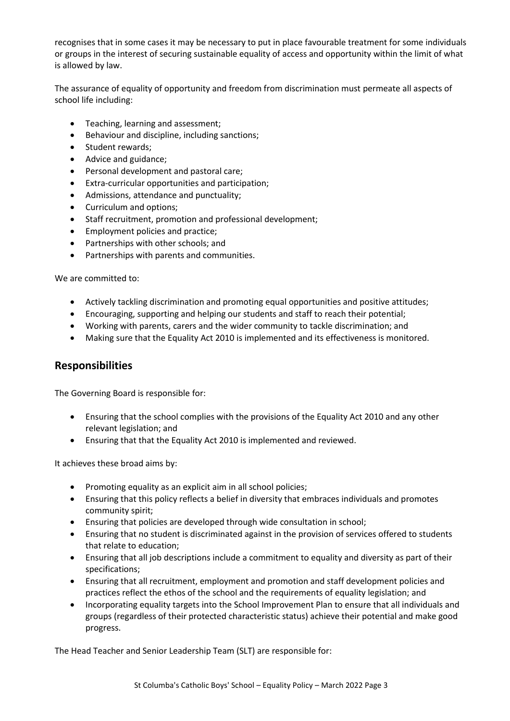recognises that in some cases it may be necessary to put in place favourable treatment for some individuals or groups in the interest of securing sustainable equality of access and opportunity within the limit of what is allowed by law.

The assurance of equality of opportunity and freedom from discrimination must permeate all aspects of school life including:

- Teaching, learning and assessment;
- Behaviour and discipline, including sanctions;
- Student rewards;
- Advice and guidance;
- Personal development and pastoral care;
- Extra-curricular opportunities and participation;
- Admissions, attendance and punctuality;
- Curriculum and options;
- Staff recruitment, promotion and professional development;
- Employment policies and practice;
- Partnerships with other schools; and
- Partnerships with parents and communities.

We are committed to:

- Actively tackling discrimination and promoting equal opportunities and positive attitudes;
- Encouraging, supporting and helping our students and staff to reach their potential;
- Working with parents, carers and the wider community to tackle discrimination; and
- Making sure that the Equality Act 2010 is implemented and its effectiveness is monitored.

#### **Responsibilities**

The Governing Board is responsible for:

- Ensuring that the school complies with the provisions of the Equality Act 2010 and any other relevant legislation; and
- Ensuring that that the Equality Act 2010 is implemented and reviewed.

It achieves these broad aims by:

- Promoting equality as an explicit aim in all school policies;
- Ensuring that this policy reflects a belief in diversity that embraces individuals and promotes community spirit;
- Ensuring that policies are developed through wide consultation in school;
- Ensuring that no student is discriminated against in the provision of services offered to students that relate to education;
- Ensuring that all job descriptions include a commitment to equality and diversity as part of their specifications;
- Ensuring that all recruitment, employment and promotion and staff development policies and practices reflect the ethos of the school and the requirements of equality legislation; and
- Incorporating equality targets into the School Improvement Plan to ensure that all individuals and groups (regardless of their protected characteristic status) achieve their potential and make good progress.

The Head Teacher and Senior Leadership Team (SLT) are responsible for: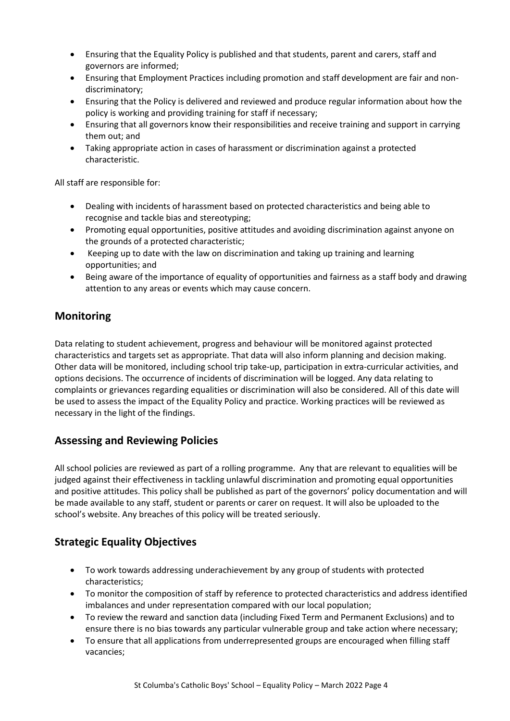- Ensuring that the Equality Policy is published and that students, parent and carers, staff and governors are informed;
- Ensuring that Employment Practices including promotion and staff development are fair and nondiscriminatory;
- Ensuring that the Policy is delivered and reviewed and produce regular information about how the policy is working and providing training for staff if necessary;
- Ensuring that all governors know their responsibilities and receive training and support in carrying them out; and
- Taking appropriate action in cases of harassment or discrimination against a protected characteristic.

All staff are responsible for:

- Dealing with incidents of harassment based on protected characteristics and being able to recognise and tackle bias and stereotyping;
- Promoting equal opportunities, positive attitudes and avoiding discrimination against anyone on the grounds of a protected characteristic;
- Keeping up to date with the law on discrimination and taking up training and learning opportunities; and
- Being aware of the importance of equality of opportunities and fairness as a staff body and drawing attention to any areas or events which may cause concern.

# **Monitoring**

Data relating to student achievement, progress and behaviour will be monitored against protected characteristics and targets set as appropriate. That data will also inform planning and decision making. Other data will be monitored, including school trip take-up, participation in extra-curricular activities, and options decisions. The occurrence of incidents of discrimination will be logged. Any data relating to complaints or grievances regarding equalities or discrimination will also be considered. All of this date will be used to assess the impact of the Equality Policy and practice. Working practices will be reviewed as necessary in the light of the findings.

#### **Assessing and Reviewing Policies**

All school policies are reviewed as part of a rolling programme. Any that are relevant to equalities will be judged against their effectiveness in tackling unlawful discrimination and promoting equal opportunities and positive attitudes. This policy shall be published as part of the governors' policy documentation and will be made available to any staff, student or parents or carer on request. It will also be uploaded to the school's website. Any breaches of this policy will be treated seriously.

# **Strategic Equality Objectives**

- To work towards addressing underachievement by any group of students with protected characteristics;
- To monitor the composition of staff by reference to protected characteristics and address identified imbalances and under representation compared with our local population;
- To review the reward and sanction data (including Fixed Term and Permanent Exclusions) and to ensure there is no bias towards any particular vulnerable group and take action where necessary;
- To ensure that all applications from underrepresented groups are encouraged when filling staff vacancies;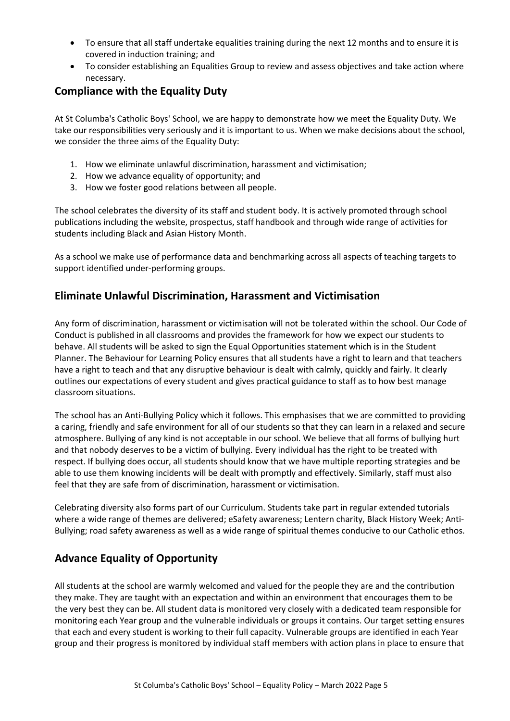- To ensure that all staff undertake equalities training during the next 12 months and to ensure it is covered in induction training; and
- To consider establishing an Equalities Group to review and assess objectives and take action where necessary.

#### **Compliance with the Equality Duty**

At St Columba's Catholic Boys' School, we are happy to demonstrate how we meet the Equality Duty. We take our responsibilities very seriously and it is important to us. When we make decisions about the school, we consider the three aims of the Equality Duty:

- 1. How we eliminate unlawful discrimination, harassment and victimisation;
- 2. How we advance equality of opportunity; and
- 3. How we foster good relations between all people.

The school celebrates the diversity of its staff and student body. It is actively promoted through school publications including the website, prospectus, staff handbook and through wide range of activities for students including Black and Asian History Month.

As a school we make use of performance data and benchmarking across all aspects of teaching targets to support identified under-performing groups.

## **Eliminate Unlawful Discrimination, Harassment and Victimisation**

Any form of discrimination, harassment or victimisation will not be tolerated within the school. Our Code of Conduct is published in all classrooms and provides the framework for how we expect our students to behave. All students will be asked to sign the Equal Opportunities statement which is in the Student Planner. The Behaviour for Learning Policy ensures that all students have a right to learn and that teachers have a right to teach and that any disruptive behaviour is dealt with calmly, quickly and fairly. It clearly outlines our expectations of every student and gives practical guidance to staff as to how best manage classroom situations.

The school has an Anti-Bullying Policy which it follows. This emphasises that we are committed to providing a caring, friendly and safe environment for all of our students so that they can learn in a relaxed and secure atmosphere. Bullying of any kind is not acceptable in our school. We believe that all forms of bullying hurt and that nobody deserves to be a victim of bullying. Every individual has the right to be treated with respect. If bullying does occur, all students should know that we have multiple reporting strategies and be able to use them knowing incidents will be dealt with promptly and effectively. Similarly, staff must also feel that they are safe from of discrimination, harassment or victimisation.

Celebrating diversity also forms part of our Curriculum. Students take part in regular extended tutorials where a wide range of themes are delivered; eSafety awareness; Lentern charity, Black History Week; Anti-Bullying; road safety awareness as well as a wide range of spiritual themes conducive to our Catholic ethos.

# **Advance Equality of Opportunity**

All students at the school are warmly welcomed and valued for the people they are and the contribution they make. They are taught with an expectation and within an environment that encourages them to be the very best they can be. All student data is monitored very closely with a dedicated team responsible for monitoring each Year group and the vulnerable individuals or groups it contains. Our target setting ensures that each and every student is working to their full capacity. Vulnerable groups are identified in each Year group and their progress is monitored by individual staff members with action plans in place to ensure that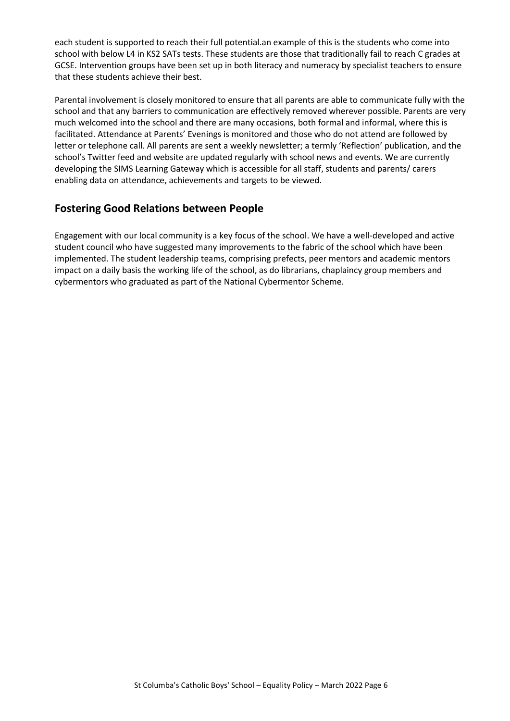each student is supported to reach their full potential.an example of this is the students who come into school with below L4 in KS2 SATs tests. These students are those that traditionally fail to reach C grades at GCSE. Intervention groups have been set up in both literacy and numeracy by specialist teachers to ensure that these students achieve their best.

Parental involvement is closely monitored to ensure that all parents are able to communicate fully with the school and that any barriers to communication are effectively removed wherever possible. Parents are very much welcomed into the school and there are many occasions, both formal and informal, where this is facilitated. Attendance at Parents' Evenings is monitored and those who do not attend are followed by letter or telephone call. All parents are sent a weekly newsletter; a termly 'Reflection' publication, and the school's Twitter feed and website are updated regularly with school news and events. We are currently developing the SIMS Learning Gateway which is accessible for all staff, students and parents/ carers enabling data on attendance, achievements and targets to be viewed.

## **Fostering Good Relations between People**

Engagement with our local community is a key focus of the school. We have a well-developed and active student council who have suggested many improvements to the fabric of the school which have been implemented. The student leadership teams, comprising prefects, peer mentors and academic mentors impact on a daily basis the working life of the school, as do librarians, chaplaincy group members and cybermentors who graduated as part of the National Cybermentor Scheme.